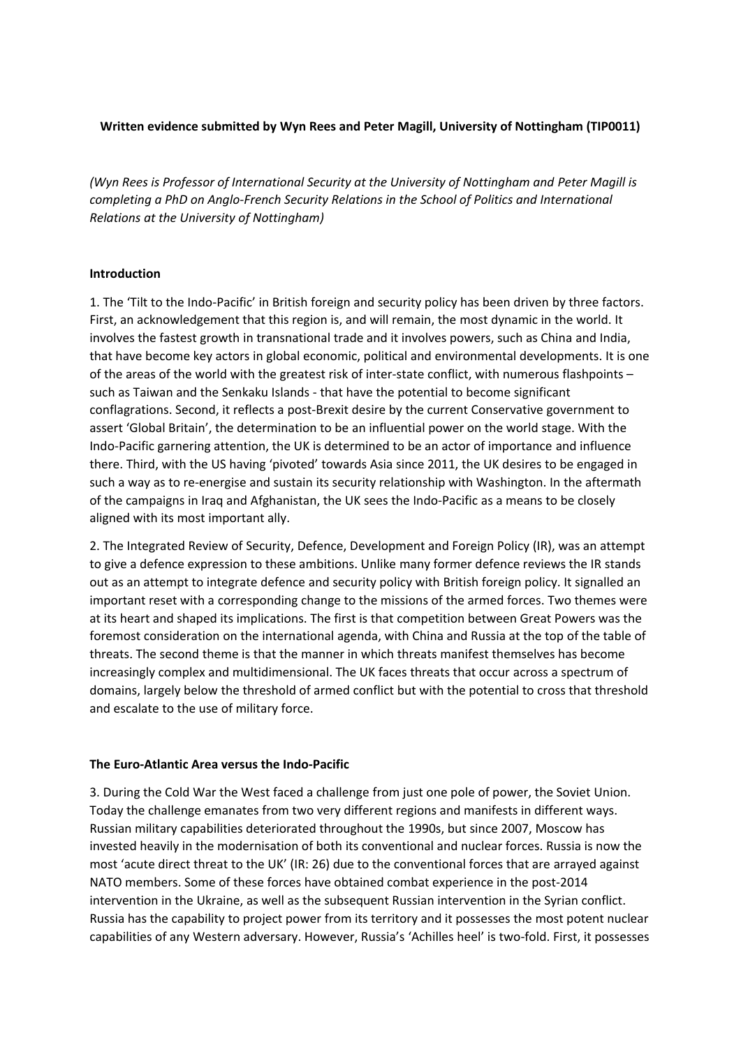# **Written evidence submitted by Wyn Rees and Peter Magill, University of Nottingham (TIP0011)**

*(Wyn Rees is Professor of International Security at the University of Nottingham and Peter Magill is completing a PhD on Anglo-French Security Relations in the School of Politics and International Relations at the University of Nottingham)*

## **Introduction**

1. The 'Tilt to the Indo-Pacific' in British foreign and security policy has been driven by three factors. First, an acknowledgement that this region is, and will remain, the most dynamic in the world. It involves the fastest growth in transnational trade and it involves powers, such as China and India, that have become key actors in global economic, political and environmental developments. It is one of the areas of the world with the greatest risk of inter-state conflict, with numerous flashpoints – such as Taiwan and the Senkaku Islands - that have the potential to become significant conflagrations. Second, it reflects a post-Brexit desire by the current Conservative government to assert 'Global Britain', the determination to be an influential power on the world stage. With the Indo-Pacific garnering attention, the UK is determined to be an actor of importance and influence there. Third, with the US having 'pivoted' towards Asia since 2011, the UK desires to be engaged in such a way as to re-energise and sustain its security relationship with Washington. In the aftermath of the campaigns in Iraq and Afghanistan, the UK sees the Indo-Pacific as a means to be closely aligned with its most important ally.

2. The Integrated Review of Security, Defence, Development and Foreign Policy (IR), was an attempt to give a defence expression to these ambitions. Unlike many former defence reviews the IR stands out as an attempt to integrate defence and security policy with British foreign policy. It signalled an important reset with a corresponding change to the missions of the armed forces. Two themes were at its heart and shaped its implications. The first is that competition between Great Powers was the foremost consideration on the international agenda, with China and Russia at the top of the table of threats. The second theme is that the manner in which threats manifest themselves has become increasingly complex and multidimensional. The UK faces threats that occur across a spectrum of domains, largely below the threshold of armed conflict but with the potential to cross that threshold and escalate to the use of military force.

## **The Euro-Atlantic Area versus the Indo-Pacific**

3. During the Cold War the West faced a challenge from just one pole of power, the Soviet Union. Today the challenge emanates from two very different regions and manifests in different ways. Russian military capabilities deteriorated throughout the 1990s, but since 2007, Moscow has invested heavily in the modernisation of both its conventional and nuclear forces. Russia is now the most 'acute direct threat to the UK' (IR: 26) due to the conventional forces that are arrayed against NATO members. Some of these forces have obtained combat experience in the post-2014 intervention in the Ukraine, as well as the subsequent Russian intervention in the Syrian conflict. Russia has the capability to project power from its territory and it possesses the most potent nuclear capabilities of any Western adversary. However, Russia's 'Achilles heel' is two-fold. First, it possesses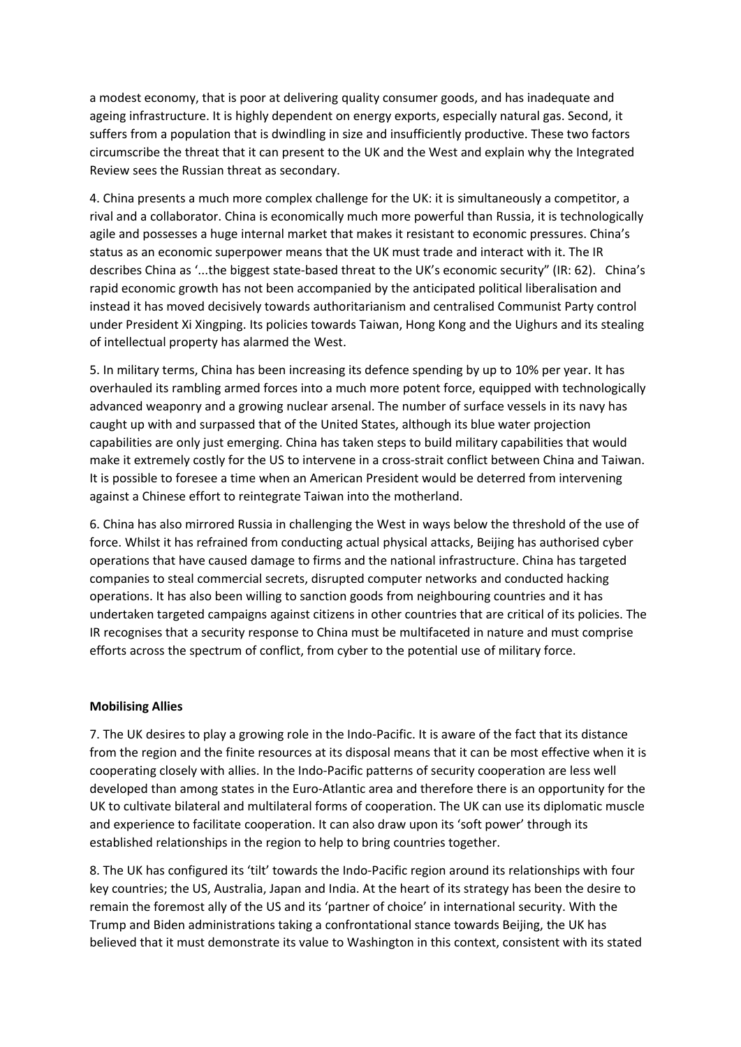a modest economy, that is poor at delivering quality consumer goods, and has inadequate and ageing infrastructure. It is highly dependent on energy exports, especially natural gas. Second, it suffers from a population that is dwindling in size and insufficiently productive. These two factors circumscribe the threat that it can present to the UK and the West and explain why the Integrated Review sees the Russian threat as secondary.

4. China presents a much more complex challenge for the UK: it is simultaneously a competitor, a rival and a collaborator. China is economically much more powerful than Russia, it is technologically agile and possesses a huge internal market that makes it resistant to economic pressures. China's status as an economic superpower means that the UK must trade and interact with it. The IR describes China as '...the biggest state-based threat to the UK's economic security" (IR: 62). China's rapid economic growth has not been accompanied by the anticipated political liberalisation and instead it has moved decisively towards authoritarianism and centralised Communist Party control under President Xi Xingping. Its policies towards Taiwan, Hong Kong and the Uighurs and its stealing of intellectual property has alarmed the West.

5. In military terms, China has been increasing its defence spending by up to 10% per year. It has overhauled its rambling armed forces into a much more potent force, equipped with technologically advanced weaponry and a growing nuclear arsenal. The number of surface vessels in its navy has caught up with and surpassed that of the United States, although its blue water projection capabilities are only just emerging. China has taken steps to build military capabilities that would make it extremely costly for the US to intervene in a cross-strait conflict between China and Taiwan. It is possible to foresee a time when an American President would be deterred from intervening against a Chinese effort to reintegrate Taiwan into the motherland.

6. China has also mirrored Russia in challenging the West in ways below the threshold of the use of force. Whilst it has refrained from conducting actual physical attacks, Beijing has authorised cyber operations that have caused damage to firms and the national infrastructure. China has targeted companies to steal commercial secrets, disrupted computer networks and conducted hacking operations. It has also been willing to sanction goods from neighbouring countries and it has undertaken targeted campaigns against citizens in other countries that are critical of its policies. The IR recognises that a security response to China must be multifaceted in nature and must comprise efforts across the spectrum of conflict, from cyber to the potential use of military force.

## **Mobilising Allies**

7. The UK desires to play a growing role in the Indo-Pacific. It is aware of the fact that its distance from the region and the finite resources at its disposal means that it can be most effective when it is cooperating closely with allies. In the Indo-Pacific patterns of security cooperation are less well developed than among states in the Euro-Atlantic area and therefore there is an opportunity for the UK to cultivate bilateral and multilateral forms of cooperation. The UK can use its diplomatic muscle and experience to facilitate cooperation. It can also draw upon its 'soft power' through its established relationships in the region to help to bring countries together.

8. The UK has configured its 'tilt' towards the Indo-Pacific region around its relationships with four key countries; the US, Australia, Japan and India. At the heart of its strategy has been the desire to remain the foremost ally of the US and its 'partner of choice' in international security. With the Trump and Biden administrations taking a confrontational stance towards Beijing, the UK has believed that it must demonstrate its value to Washington in this context, consistent with its stated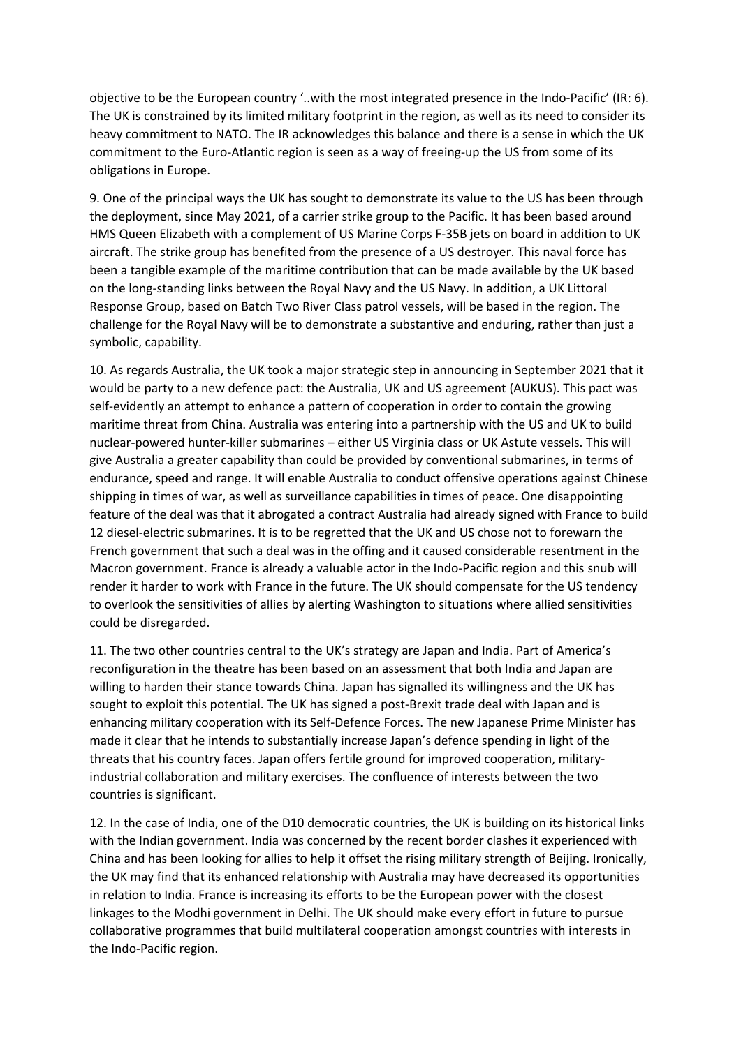objective to be the European country '..with the most integrated presence in the Indo-Pacific' (IR: 6). The UK is constrained by its limited military footprint in the region, as well as its need to consider its heavy commitment to NATO. The IR acknowledges this balance and there is a sense in which the UK commitment to the Euro-Atlantic region is seen as a way of freeing-up the US from some of its obligations in Europe.

9. One of the principal ways the UK has sought to demonstrate its value to the US has been through the deployment, since May 2021, of a carrier strike group to the Pacific. It has been based around HMS Queen Elizabeth with a complement of US Marine Corps F-35B jets on board in addition to UK aircraft. The strike group has benefited from the presence of a US destroyer. This naval force has been a tangible example of the maritime contribution that can be made available by the UK based on the long-standing links between the Royal Navy and the US Navy. In addition, a UK Littoral Response Group, based on Batch Two River Class patrol vessels, will be based in the region. The challenge for the Royal Navy will be to demonstrate a substantive and enduring, rather than just a symbolic, capability.

10. As regards Australia, the UK took a major strategic step in announcing in September 2021 that it would be party to a new defence pact: the Australia, UK and US agreement (AUKUS). This pact was self-evidently an attempt to enhance a pattern of cooperation in order to contain the growing maritime threat from China. Australia was entering into a partnership with the US and UK to build nuclear-powered hunter-killer submarines – either US Virginia class or UK Astute vessels. This will give Australia a greater capability than could be provided by conventional submarines, in terms of endurance, speed and range. It will enable Australia to conduct offensive operations against Chinese shipping in times of war, as well as surveillance capabilities in times of peace. One disappointing feature of the deal was that it abrogated a contract Australia had already signed with France to build 12 diesel-electric submarines. It is to be regretted that the UK and US chose not to forewarn the French government that such a deal was in the offing and it caused considerable resentment in the Macron government. France is already a valuable actor in the Indo-Pacific region and this snub will render it harder to work with France in the future. The UK should compensate for the US tendency to overlook the sensitivities of allies by alerting Washington to situations where allied sensitivities could be disregarded.

11. The two other countries central to the UK's strategy are Japan and India. Part of America's reconfiguration in the theatre has been based on an assessment that both India and Japan are willing to harden their stance towards China. Japan has signalled its willingness and the UK has sought to exploit this potential. The UK has signed a post-Brexit trade deal with Japan and is enhancing military cooperation with its Self-Defence Forces. The new Japanese Prime Minister has made it clear that he intends to substantially increase Japan's defence spending in light of the threats that his country faces. Japan offers fertile ground for improved cooperation, militaryindustrial collaboration and military exercises. The confluence of interests between the two countries is significant.

12. In the case of India, one of the D10 democratic countries, the UK is building on its historical links with the Indian government. India was concerned by the recent border clashes it experienced with China and has been looking for allies to help it offset the rising military strength of Beijing. Ironically, the UK may find that its enhanced relationship with Australia may have decreased its opportunities in relation to India. France is increasing its efforts to be the European power with the closest linkages to the Modhi government in Delhi. The UK should make every effort in future to pursue collaborative programmes that build multilateral cooperation amongst countries with interests in the Indo-Pacific region.